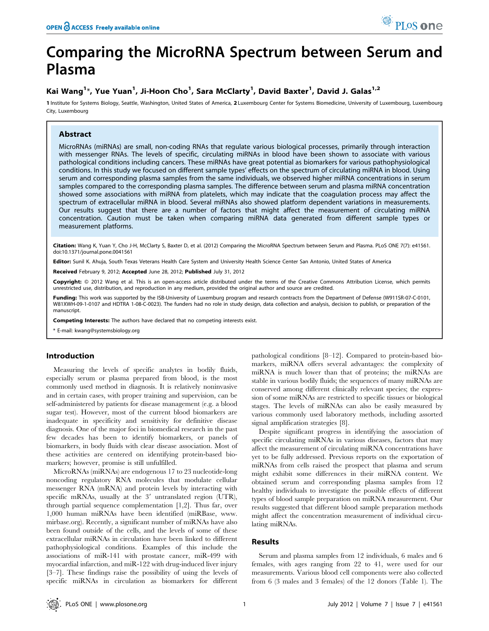# Comparing the MicroRNA Spectrum between Serum and Plasma

## Kai Wang<sup>1</sup>\*, Yue Yuan<sup>1</sup>, Ji-Hoon Cho<sup>1</sup>, Sara McClarty<sup>1</sup>, David Baxter<sup>1</sup>, David J. Galas<sup>1,2</sup>

1 Institute for Systems Biology, Seattle, Washington, United States of America, 2 Luxembourg Center for Systems Biomedicine, University of Luxembourg, Luxembourg City, Luxembourg

## Abstract

MicroRNAs (miRNAs) are small, non-coding RNAs that regulate various biological processes, primarily through interaction with messenger RNAs. The levels of specific, circulating miRNAs in blood have been shown to associate with various pathological conditions including cancers. These miRNAs have great potential as biomarkers for various pathophysiological conditions. In this study we focused on different sample types' effects on the spectrum of circulating miRNA in blood. Using serum and corresponding plasma samples from the same individuals, we observed higher miRNA concentrations in serum samples compared to the corresponding plasma samples. The difference between serum and plasma miRNA concentration showed some associations with miRNA from platelets, which may indicate that the coagulation process may affect the spectrum of extracellular miRNA in blood. Several miRNAs also showed platform dependent variations in measurements. Our results suggest that there are a number of factors that might affect the measurement of circulating miRNA concentration. Caution must be taken when comparing miRNA data generated from different sample types or measurement platforms.

Citation: Wang K, Yuan Y, Cho J-H, McClarty S, Baxter D, et al. (2012) Comparing the MicroRNA Spectrum between Serum and Plasma. PLoS ONE 7(7): e41561. doi:10.1371/journal.pone.0041561

Editor: Sunil K. Ahuja, South Texas Veterans Health Care System and University Health Science Center San Antonio, United States of America

Received February 9, 2012; Accepted June 28, 2012; Published July 31, 2012

Copyright: @ 2012 Wang et al. This is an open-access article distributed under the terms of the Creative Commons Attribution License, which permits unrestricted use, distribution, and reproduction in any medium, provided the original author and source are credited.

Funding: This work was supported by the ISB-University of Luxemburg program and research contracts from the Department of Defense (W911SR-07-C-0101, W81XWH-09-1-0107 and HDTRA 1-08-C-0023). The funders had no role in study design, data collection and analysis, decision to publish, or preparation of the manuscript.

Competing Interests: The authors have declared that no competing interests exist.

\* E-mail: kwang@systemsbiology.org

## Introduction

Measuring the levels of specific analytes in bodily fluids, especially serum or plasma prepared from blood, is the most commonly used method in diagnosis. It is relatively noninvasive and in certain cases, with proper training and supervision, can be self-administered by patients for disease management (e.g. a blood sugar test). However, most of the current blood biomarkers are inadequate in specificity and sensitivity for definitive disease diagnosis. One of the major foci in biomedical research in the past few decades has been to identify biomarkers, or panels of biomarkers, in body fluids with clear disease association. Most of these activities are centered on identifying protein-based biomarkers; however, promise is still unfulfilled.

MicroRNAs (miRNAs) are endogenous 17 to 23 nucleotide-long noncoding regulatory RNA molecules that modulate cellular messenger RNA (mRNA) and protein levels by interacting with specific mRNAs, usually at the  $3'$  untranslated region (UTR), through partial sequence complementation [1,2]. Thus far, over 1,000 human miRNAs have been identified (miRBase, www. mirbase.org). Recently, a significant number of miRNAs have also been found outside of the cells, and the levels of some of these extracellular miRNAs in circulation have been linked to different pathophysiological conditions. Examples of this include the associations of miR-141 with prostate cancer, miR-499 with myocardial infarction, and miR-122 with drug-induced liver injury [3–7]. These findings raise the possibility of using the levels of specific miRNAs in circulation as biomarkers for different

pathological conditions [8–12]. Compared to protein-based biomarkers, miRNA offers several advantages: the complexity of miRNA is much lower than that of proteins; the miRNAs are stable in various bodily fluids; the sequences of many miRNAs are conserved among different clinically relevant species; the expression of some miRNAs are restricted to specific tissues or biological stages. The levels of miRNAs can also be easily measured by various commonly used laboratory methods, including assorted signal amplification strategies [8].

Despite significant progress in identifying the association of specific circulating miRNAs in various diseases, factors that may affect the measurement of circulating miRNA concentrations have yet to be fully addressed. Previous reports on the exportation of miRNAs from cells raised the prospect that plasma and serum might exhibit some differences in their miRNA content. We obtained serum and corresponding plasma samples from 12 healthy individuals to investigate the possible effects of different types of blood sample preparation on miRNA measurement. Our results suggested that different blood sample preparation methods might affect the concentration measurement of individual circulating miRNAs.

#### Results

Serum and plasma samples from 12 individuals, 6 males and 6 females, with ages ranging from 22 to 41, were used for our measurements. Various blood cell components were also collected from 6 (3 males and 3 females) of the 12 donors (Table 1). The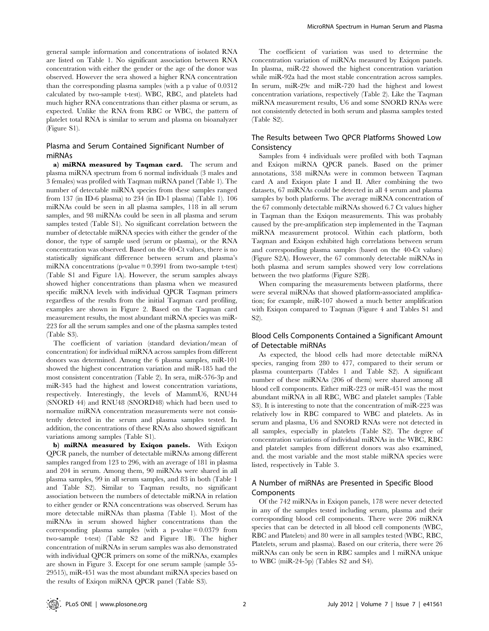general sample information and concentrations of isolated RNA are listed on Table 1. No significant association between RNA concentration with either the gender or the age of the donor was observed. However the sera showed a higher RNA concentration than the corresponding plasma samples (with a p value of 0.0312 calculated by two-sample t-test). WBC, RBC, and platelets had much higher RNA concentrations than either plasma or serum, as expected. Unlike the RNA from RBC or WBC, the pattern of platelet total RNA is similar to serum and plasma on bioanalyzer (Figure S1).

## Plasma and Serum Contained Significant Number of miRNAs

a) miRNA measured by Taqman card. The serum and plasma miRNA spectrum from 6 normal individuals (3 males and 3 females) was profiled with Taqman miRNA panel (Table 1). The number of detectable miRNA species from these samples ranged from 137 (in ID-6 plasma) to 234 (in ID-1 plasma) (Table 1). 106 miRNAs could be seen in all plasma samples, 118 in all serum samples, and 98 miRNAs could be seen in all plasma and serum samples tested (Table S1). No significant correlation between the number of detectable miRNA species with either the gender of the donor, the type of sample used (serum or plasma), or the RNA concentration was observed. Based on the 40-Ct values, there is no statistically significant difference between serum and plasma's miRNA concentrations (p-value  $= 0.3991$  from two-sample t-test) (Table S1 and Figure 1A). However, the serum samples always showed higher concentrations than plasma when we measured specific miRNA levels with individual QPCR Taqman primers regardless of the results from the initial Taqman card profiling, examples are shown in Figure 2. Based on the Taqman card measurement results, the most abundant miRNA species was miR-223 for all the serum samples and one of the plasma samples tested (Table S3).

The coefficient of variation (standard deviation/mean of concentration) for individual miRNA across samples from different donors was determined. Among the 6 plasma samples, miR-101 showed the highest concentration variation and miR-185 had the most consistent concentration (Table 2). In sera, miR-576-3p and miR-345 had the highest and lowest concentration variations, respectively. Interestingly, the levels of MammU6, RNU44 (SNORD 44) and RNU48 (SNORD48) which had been used to normalize miRNA concentration measurements were not consistently detected in the serum and plasma samples tested. In addition, the concentrations of these RNAs also showed significant variations among samples (Table S1).

b) miRNA measured by Exiqon panels. With Exiqon QPCR panels, the number of detectable miRNAs among different samples ranged from 123 to 296, with an average of 181 in plasma and 204 in serum. Among them, 90 miRNAs were shared in all plasma samples, 99 in all serum samples, and 83 in both (Table 1 and Table S2). Similar to Taqman results, no significant association between the numbers of detectable miRNA in relation to either gender or RNA concentrations was observed. Serum has more detectable miRNAs than plasma (Table 1). Most of the miRNAs in serum showed higher concentrations than the corresponding plasma samples (with a p-value  $= 0.0379$  from two-sample t-test) (Table S2 and Figure 1B). The higher concentration of miRNAs in serum samples was also demonstrated with individual QPCR primers on some of the miRNAs, examples are shown in Figure 3. Except for one serum sample (sample 55- 29515), miR-451 was the most abundant miRNA species based on the results of Exiqon miRNA QPCR panel (Table S3).

The coefficient of variation was used to determine the concentration variation of miRNAs measured by Exiqon panels. In plasma, miR-22 showed the highest concentration variation while miR-92a had the most stable concentration across samples. In serum, miR-29c and miR-720 had the highest and lowest concentration variations, respectively (Table 2). Like the Taqman miRNA measurement results, U6 and some SNORD RNAs were not consistently detected in both serum and plasma samples tested (Table S2).

## The Results between Two QPCR Platforms Showed Low Consistency

Samples from 4 individuals were profiled with both Taqman and Exiqon miRNA QPCR panels. Based on the primer annotations, 358 miRNAs were in common between Taqman card A and Exiqon plate I and II. After combining the two datasets, 67 miRNAs could be detected in all 4 serum and plasma samples by both platforms. The average miRNA concentration of the 67 commonly detectable miRNAs showed 6.7 Ct values higher in Taqman than the Exiqon measurements. This was probably caused by the pre-amplification step implemented in the Taqman miRNA measurement protocol. Within each platform, both Taqman and Exiqon exhibited high correlations between serum and corresponding plasma samples (based on the 40-Ct values) (Figure S2A). However, the 67 commonly detectable miRNAs in both plasma and serum samples showed very low correlations between the two platforms (Figure S2B).

When comparing the measurements between platforms, there were several miRNAs that showed platform-associated amplification; for example, miR-107 showed a much better amplification with Exiqon compared to Taqman (Figure 4 and Tables S1 and S2).

### Blood Cells Components Contained a Significant Amount of Detectable miRNAs

As expected, the blood cells had more detectable miRNA species, ranging from 280 to 477, compared to their serum or plasma counterparts (Tables 1 and Table S2). A significant number of these miRNAs (206 of them) were shared among all blood cell components. Either miR-223 or miR-451 was the most abundant miRNA in all RBC, WBC and platelet samples (Table S3). It is interesting to note that the concentration of miR-223 was relatively low in RBC compared to WBC and platelets. As in serum and plasma, U6 and SNORD RNAs were not detected in all samples, especially in platelets (Table S2). The degree of concentration variations of individual miRNAs in the WBC, RBC and platelet samples from different donors was also examined, and. the most variable and the most stable miRNA species were listed, respectively in Table 3.

### A Number of miRNAs are Presented in Specific Blood Components

Of the 742 miRNAs in Exiqon panels, 178 were never detected in any of the samples tested including serum, plasma and their corresponding blood cell components. There were 206 miRNA species that can be detected in all blood cell components (WBC, RBC and Platelets) and 80 were in all samples tested (WBC, RBC, Platelets, serum and plasma). Based on our criteria, there were 26 miRNAs can only be seen in RBC samples and 1 miRNA unique to WBC (miR-24-5p) (Tables S2 and S4).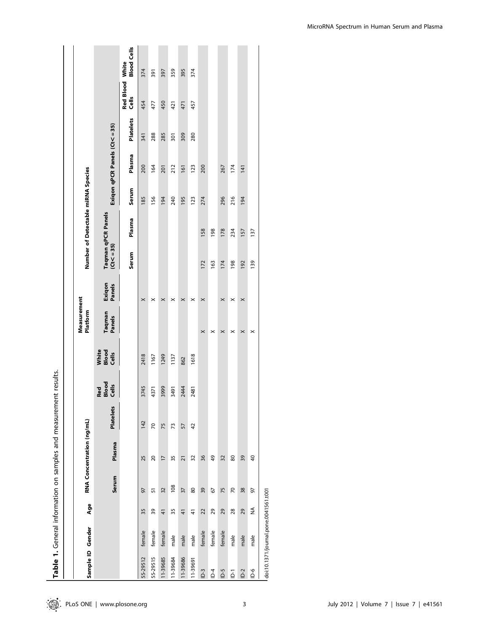|                   |                                       |                |       |                           | Table 1. General information on samples and measurement results. |                       |                         |                         |                       |               |                                    |       |                             |           |                          |                    |
|-------------------|---------------------------------------|----------------|-------|---------------------------|------------------------------------------------------------------|-----------------------|-------------------------|-------------------------|-----------------------|---------------|------------------------------------|-------|-----------------------------|-----------|--------------------------|--------------------|
|                   |                                       |                |       |                           |                                                                  |                       |                         |                         |                       |               |                                    |       |                             |           |                          |                    |
| Sample ID Gender  |                                       | Age            |       | RNA Concentration (ng/mL) |                                                                  |                       |                         | Measurement<br>Platform |                       |               | Number of Detectable miRNA Species |       |                             |           |                          |                    |
|                   |                                       |                | Serum | Plasma                    | <b>Platelets</b>                                                 | Red<br>Blood<br>Cells | White<br>Blood<br>Cells | Taqman<br>Panels        | Exiqon<br>Panels      | $(Ct < = 35)$ | Taqman qPCR Panels                 |       | Exiqon qPCR Panels (Ct<=35) |           |                          |                    |
|                   |                                       |                |       |                           |                                                                  |                       |                         |                         |                       | Serum         | Plasma                             | Serum | Plasma                      | Platelets | Red Blood White<br>Cells | <b>Blood Cells</b> |
| 55-29512          | female                                | 35             | 97    | 25                        | 142                                                              | 3745                  | 2418                    |                         | $\times$              |               |                                    | 185   | 200                         | 341       | 454                      | 374                |
| 55-29515          | female                                | 39             | 57    | 20                        | 70                                                               | 4371                  | 1167                    |                         | $\boldsymbol{\times}$ |               |                                    | 156   | 164                         | 288       | 477                      | 391                |
| 11-39685          | female                                | $\overline{4}$ | 32    | $\overline{1}$            | 75                                                               | 3999                  | 1249                    |                         | $\times$              |               |                                    | 194   | 201                         | 285       | 450                      | 397                |
| 11-39684          | male                                  | 35             | 108   | 35                        | 73                                                               | 3491                  | 1137                    |                         | $\times$              |               |                                    | 240   | 212                         | 301       | 421                      | 359                |
| 11-39686          | male                                  | $\frac{4}{1}$  | 37    | $\overline{21}$           | 57                                                               | 2444                  | 862                     |                         | $\times$              |               |                                    | 195   | 161                         | 309       | 471                      | 395                |
| 11-39691          | male                                  | $\frac{4}{3}$  | 80    | 32                        | 42                                                               | 2481                  | 1618                    |                         | $\boldsymbol{\times}$ |               |                                    | 123   | 123                         | 280       | 457                      | 374                |
| $\overline{D}$ -3 | female                                | 22             | 39    | 36                        |                                                                  |                       |                         | $\times$                | $\times$              | 172           | 158                                | 274   | 200                         |           |                          |                    |
| $\overline{a}$    | female                                | 29             | 67    | 49                        |                                                                  |                       |                         | ×                       |                       | 163           | 198                                |       |                             |           |                          |                    |
| $\overline{C}$ -g | female                                | 29             | 75    | 32                        |                                                                  |                       |                         | $\times$                | $\times$              | 174           | 178                                | 296   | 267                         |           |                          |                    |
| $\overline{a}$    | male                                  | 28             | 70    | 80                        |                                                                  |                       |                         | ×                       | ×                     | 198           | 234                                | 216   | 174                         |           |                          |                    |
| $D-2$             | male                                  | 29             | 38    | 39                        |                                                                  |                       |                         | ×                       | $\times$              | 192           | 157                                | 194   | 141                         |           |                          |                    |
| 9−Q               | male                                  | ≨              | 97    | $\overline{40}$           |                                                                  |                       |                         | $\times$                |                       | 139           | 137                                |       |                             |           |                          |                    |
|                   | doi:10.1371/journal.pone.0041561.t001 |                |       |                           |                                                                  |                       |                         |                         |                       |               |                                    |       |                             |           |                          |                    |

MicroRNA Spectrum in Human Serum and Plasma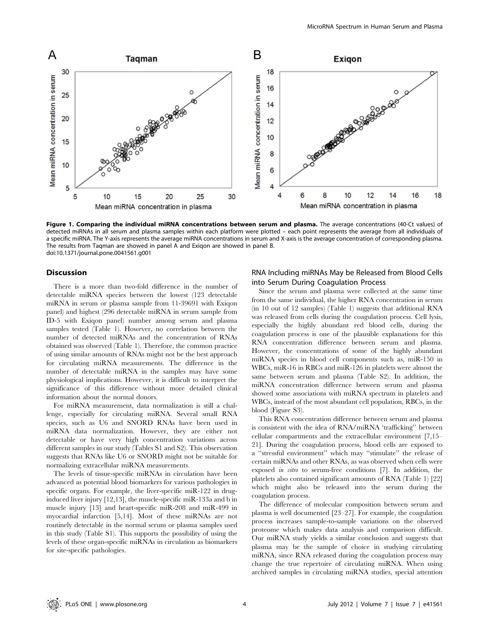

Figure 1. Comparing the individual miRNA concentrations between serum and plasma. The average concentrations (40-Ct values) of detected miRNAs in all serum and plasma samples within each platform were plotted – each point represents the average from all individuals of a specific miRNA. The Y-axis represents the average miRNA concentrations in serum and X-axis is the average concentration of corresponding plasma. The results from Taqman are showed in panel A and Exiqon are showed in panel B. doi:10.1371/journal.pone.0041561.g001

#### Discussion

There is a more than two-fold difference in the number of detectable miRNA species between the lowest (123 detectable miRNA in serum or plasma sample from 11-39691 with Exiqon panel) and highest (296 detectable miRNA in serum sample from ID-5 with Exiqon panel) number among serum and plasma samples tested (Table 1). However, no correlation between the number of detected miRNAs and the concentration of RNAs obtained was observed (Table 1). Therefore, the common practice of using similar amounts of RNAs might not be the best approach for circulating miRNA measurements. The difference in the number of detectable miRNA in the samples may have some physiological implications. However, it is difficult to interpret the significance of this difference without more detailed clinical information about the normal donors.

For miRNA measurement, data normalization is still a challenge, especially for circulating miRNA. Several small RNA species, such as U6 and SNORD RNAs have been used in miRNA data normalization. However, they are either not detectable or have very high concentration variations across different samples in our study (Tables S1 and S2). This observation suggests that RNAs like U6 or SNORD might not be suitable for normalizing extracellular miRNA measurements.

The levels of tissue-specific miRNAs in circulation have been advanced as potential blood biomarkers for various pathologies in specific organs. For example, the liver-specific miR-122 in druginduced liver injury [12,13], the muscle-specific miR-133a and b in muscle injury [13] and heart-specific miR-208 and miR-499 in myocardial infarction [5,14]. Most of these miRNAs are not routinely detectable in the normal serum or plasma samples used in this study (Table S1). This supports the possibility of using the levels of these organ-specific miRNAs in circulation as biomarkers for site-specific pathologies.

#### RNA Including miRNAs May be Released from Blood Cells into Serum During Coagulation Process

Since the serum and plasma were collected at the same time from the same individual, the higher RNA concentration in serum (in 10 out of 12 samples) (Table 1) suggests that additional RNA was released from cells during the coagulation process. Cell lysis, especially the highly abundant red blood cells, during the coagulation process is one of the plausible explanations for this RNA concentration difference between serum and plasma. However, the concentrations of some of the highly abundant miRNA species in blood cell components such as, miR-150 in WBCs, miR-16 in RBCs and miR-126 in platelets were almost the same between serum and plasma (Table S2). In addition, the miRNA concentration difference between serum and plasma showed some associations with miRNA spectrum in platelets and WBCs, instead of the most abundant cell population, RBCs, in the blood (Figure S3).

This RNA concentration difference between serum and plasma is consistent with the idea of RNA/miRNA 'trafficking'' between cellular compartments and the extracellular environment [7,15– 21]. During the coagulation process, blood cells are exposed to a ''stressful environment'' which may ''stimulate'' the release of certain miRNAs and other RNAs, as was observed when cells were exposed in vitro to serum-free conditions [7]. In addition, the platelets also contained significant amounts of RNA (Table 1) [22] which might also be released into the serum during the coagulation process.

The difference of molecular composition between serum and plasma is well documented [23–27]. For example, the coagulation process increases sample-to-sample variations on the observed proteome which makes data analysis and comparison difficult. Our miRNA study yields a similar conclusion and suggests that plasma may be the sample of choice in studying circulating miRNA, since RNA released during the coagulation process may change the true repertoire of circulating miRNA. When using archived samples in circulating miRNA studies, special attention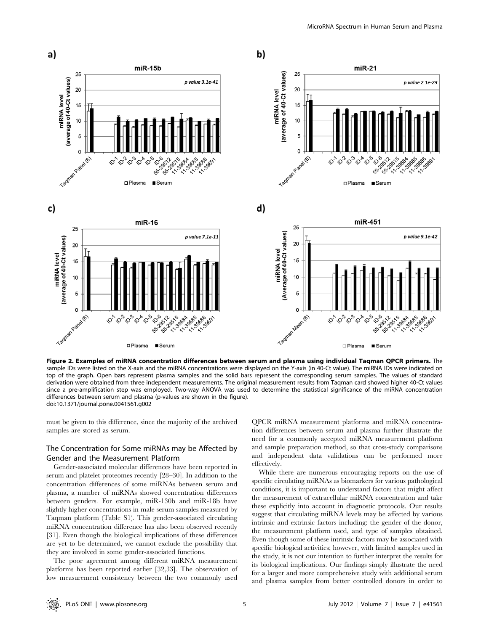

Figure 2. Examples of miRNA concentration differences between serum and plasma using individual Taqman QPCR primers. The sample IDs were listed on the X-axis and the miRNA concentrations were displayed on the Y-axis (in 40-Ct value). The miRNA IDs were indicated on top of the graph. Open bars represent plasma samples and the solid bars represent the corresponding serum samples. The values of standard derivation were obtained from three independent measurements. The original measurement results from Taqman card showed higher 40-Ct values since a pre-amplification step was employed. Two-way ANOVA was used to determine the statistical significance of the miRNA concentration differences between serum and plasma (p-values are shown in the figure). doi:10.1371/journal.pone.0041561.g002

must be given to this difference, since the majority of the archived samples are stored as serum.

## The Concentration for Some miRNAs may be Affected by Gender and the Measurement Platform

Gender-associated molecular differences have been reported in serum and platelet proteomes recently [28–30]. In addition to the concentration differences of some miRNAs between serum and plasma, a number of miRNAs showed concentration differences between genders. For example, miR-130b and miR-18b have slightly higher concentrations in male serum samples measured by Taqman platform (Table S1). This gender-associated circulating miRNA concentration difference has also been observed recently [31]. Even though the biological implications of these differences are yet to be determined, we cannot exclude the possibility that they are involved in some gender-associated functions.

The poor agreement among different miRNA measurement platforms has been reported earlier [32,33]. The observation of low measurement consistency between the two commonly used QPCR miRNA measurement platforms and miRNA concentration differences between serum and plasma further illustrate the need for a commonly accepted miRNA measurement platform and sample preparation method, so that cross-study comparisons and independent data validations can be performed more effectively.

While there are numerous encouraging reports on the use of specific circulating miRNAs as biomarkers for various pathological conditions, it is important to understand factors that might affect the measurement of extracellular miRNA concentration and take these explicitly into account in diagnostic protocols. Our results suggest that circulating miRNA levels may be affected by various intrinsic and extrinsic factors including: the gender of the donor, the measurement platform used, and type of samples obtained. Even though some of these intrinsic factors may be associated with specific biological activities; however, with limited samples used in the study, it is not our intention to further interpret the results for its biological implications. Our findings simply illustrate the need for a larger and more comprehensive study with additional serum and plasma samples from better controlled donors in order to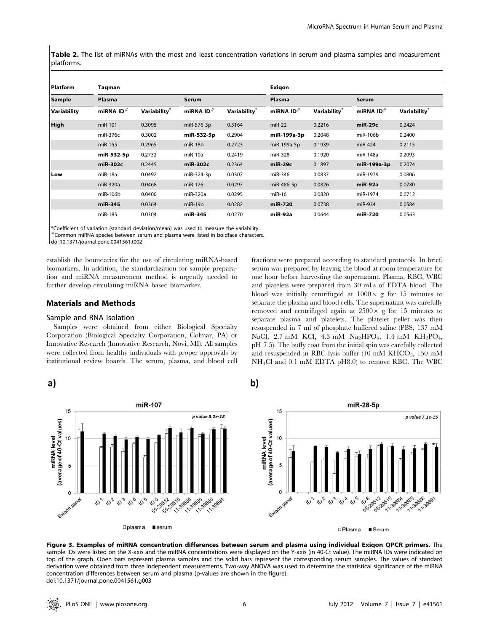Table 2. The list of miRNAs with the most and least concentration variations in serum and plasma samples and measurement platforms.

| <b>Platform</b> | Taqman                |                          |                       |                          | Exigon                |                          |                       |                          |  |
|-----------------|-----------------------|--------------------------|-----------------------|--------------------------|-----------------------|--------------------------|-----------------------|--------------------------|--|
| <b>Sample</b>   | Plasma                |                          | Serum                 |                          | Plasma                |                          | <b>Serum</b>          |                          |  |
| Variability     | miRNA ID <sup>#</sup> | Variability <sup>®</sup> | miRNA ID <sup>#</sup> | Variability <sup>®</sup> | miRNA ID <sup>#</sup> | Variability <sup>®</sup> | miRNA ID <sup>#</sup> | Variability <sup>®</sup> |  |
| High            | miR-101               | 0.3095                   | miR-576-3p            | 0.3164                   | $miR-22$              | 0.2216                   | $miR-29c$             | 0.2424                   |  |
|                 | miR-376c              | 0.3002                   | miR-532-5p            | 0.2904                   | miR-199a-3p           | 0.2048                   | miR-106b              | 0.2400                   |  |
|                 | miR-155               | 0.2965                   | $miR-18b$             | 0.2723                   | miR-199a-5p           | 0.1939                   | $miR-424$             | 0.2115                   |  |
|                 | miR-532-5p            | 0.2732                   | $miR-10a$             | 0.2419                   | miR-328               | 0.1920                   | miR-148a              | 0.2093                   |  |
|                 | miR-302c              | 0.2445                   | miR-302c              | 0.2364                   | $miR-29c$             | 0.1897                   | miR-199a-3p           | 0.2074                   |  |
| Low             | $miR-18a$             | 0.0492                   | miR-324-3p            | 0.0307                   | miR-346               | 0.0837                   | miR-1979              | 0.0806                   |  |
|                 | miR-320a              | 0.0468                   | miR-126               | 0.0297                   | miR-486-5p            | 0.0826                   | miR-92a               | 0.0780                   |  |
|                 | miR-106b              | 0.0400                   | miR-320a              | 0.0295                   | $miR-16$              | 0.0820                   | miR-1974              | 0.0712                   |  |
|                 | miR-345               | 0.0364                   | $miR-19b$             | 0.0282                   | miR-720               | 0.0738                   | miR-934               | 0.0584                   |  |
|                 | miR-185               | 0.0304                   | miR-345               | 0.0270                   | miR-92a               | 0.0644                   | miR-720               | 0.0563                   |  |

\*Coefficient of variation (standard deviation/mean) was used to measure the variability.

 $\rm \#Common$  miRNA species between serum and plasma were listed in boldface characters.

doi:10.1371/journal.pone.0041561.t002

establish the boundaries for the use of circulating miRNA-based biomarkers. In addition, the standardization for sample preparation and miRNA measurement method is urgently needed to further develop circulating miRNA based biomarker.

#### Materials and Methods

#### Sample and RNA Isolation

a)

miRNA level<br>(average of 40-Ct values)

15

 $10$ 

5

 $\mathsf{o}$ 

Samples were obtained from either Biological Specialty Corporation (Biological Specialty Corporation, Colmar, PA) or Innovative Research (Innovative Research, Novi, MI). All samples were collected from healthy individuals with proper approvals by institutional review boards. The serum, plasma, and blood cell fractions were prepared according to standard protocols. In brief, serum was prepared by leaving the blood at room temperature for one hour before harvesting the supernatant. Plasma, RBC, WBC and platelets were prepared from 30 mLs of EDTA blood. The blood was initially centrifuged at  $1000 \times g$  for 15 minutes to separate the plasma and blood cells. The supernatant was carefully removed and centrifuged again at  $2500 \times g$  for 15 minutes to separate plasma and platelets. The platelet pellet was then resuspended in 7 ml of phosphate buffered saline (PBS, 137 mM NaCl, 2.7 mM KCl, 4.3 mM Na<sub>2</sub>HPO<sub>4</sub>, 1.4 mM KH<sub>2</sub>PO<sub>4</sub>, pH 7.5). The buffy coat from the initial spin was carefully collected and resuspended in RBC lysis buffer  $(10 \text{ mM } K \text{HCO}_3, 150 \text{ mM }$ NH4Cl and 0.1 mM EDTA pH8.0) to remove RBC. The WBC





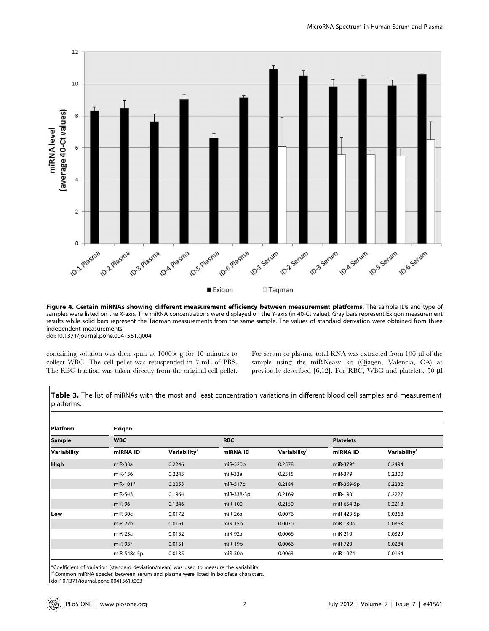

Figure 4. Certain miRNAs showing different measurement efficiency between measurement platforms. The sample IDs and type of samples were listed on the X-axis. The miRNA concentrations were displayed on the Y-axis (in 40-Ct value). Gray bars represent Exiqon measurement results while solid bars represent the Taqman measurements from the same sample. The values of standard derivation were obtained from three independent measurements. doi:10.1371/journal.pone.0041561.g004

containing solution was then spun at  $1000 \times g$  for 10 minutes to collect WBC. The cell pellet was resuspended in 7 mL of PBS. The RBC fraction was taken directly from the original cell pellet.

For serum or plasma, total RNA was extracted from 100 µl of the sample using the miRNeasy kit (Qiagen, Valencia, CA) as previously described [6,12]. For RBC, WBC and platelets, 50  $\mu$ l

| <b>Platform</b> | Exigon      |              |            |              |                  |                          |  |  |  |  |  |
|-----------------|-------------|--------------|------------|--------------|------------------|--------------------------|--|--|--|--|--|
| <b>Sample</b>   | <b>WBC</b>  |              | <b>RBC</b> |              | <b>Platelets</b> |                          |  |  |  |  |  |
| Variability     | miRNA ID    | Variability® | miRNA ID   | Variability® | miRNA ID         | Variability <sup>*</sup> |  |  |  |  |  |
| <b>High</b>     | $miR-33a$   | 0.2246       | $miR-520b$ | 0.2578       | $miR-379*$       | 0.2494                   |  |  |  |  |  |
|                 | miR-136     | 0.2245       | miR-33a    | 0.2515       | miR-379          | 0.2300                   |  |  |  |  |  |
|                 | $miR-101*$  | 0.2053       | $miR-517c$ | 0.2184       | miR-369-5p       | 0.2232                   |  |  |  |  |  |
|                 | miR-543     | 0.1964       | miR-338-3p | 0.2169       | miR-190          | 0.2227                   |  |  |  |  |  |
|                 | $miR-96$    | 0.1846       | miR-100    | 0.2150       | miR-654-3p       | 0.2218                   |  |  |  |  |  |
| Low             | miR-30e     | 0.0172       | $miR-26a$  | 0.0076       | miR-423-5p       | 0.0368                   |  |  |  |  |  |
|                 | $miR-27b$   | 0.0161       | $miR-15b$  | 0.0070       | $miR-130a$       | 0.0363                   |  |  |  |  |  |
|                 | miR-23a     | 0.0152       | miR-92a    | 0.0066       | miR-210          | 0.0329                   |  |  |  |  |  |
|                 | $miR-93*$   | 0.0151       | $miR-19b$  | 0.0066       | miR-720          | 0.0284                   |  |  |  |  |  |
|                 | miR-548c-5p | 0.0135       | $miR-30b$  | 0.0063       | miR-1974         | 0.0164                   |  |  |  |  |  |

Table 3. The list of miRNAs with the most and least concentration variations in different blood cell samples and measurement platforms.

\*Coefficient of variation (standard deviation/mean) was used to measure the variability.

 $^{\#}$ Common miRNA species between serum and plasma were listed in boldface characters.

doi:10.1371/journal.pone.0041561.t003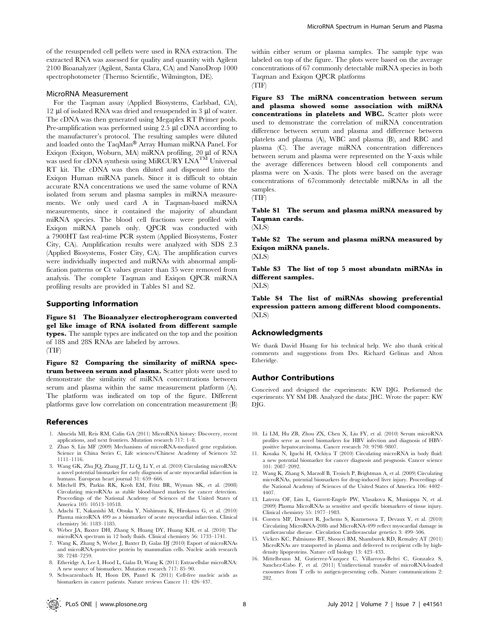of the resuspended cell pellets were used in RNA extraction. The extracted RNA was assessed for quality and quantity with Agilent 2100 Bioanalyzer (Agilent, Santa Clara, CA) and NanoDrop 1000 spectrophotometer (Thermo Scientific, Wilmington, DE).

#### MicroRNA Measurement

For the Taqman assay (Applied Biosystems, Carlsbad, CA), 12  $\mu$ l of isolated RNA was dried and resuspended in 3  $\mu$ l of water. The cDNA was then generated using Megaplex RT Primer pools. Pre-amplification was performed using  $2.5 \mu$ l cDNA according to the manufacturer's protocol. The resulting samples were diluted and loaded onto the TaqMan® Array Human miRNA Panel. For Exiqon (Exiqon, Woburn, MA) miRNA profiling, 20 µl of RNA was used for cDNA synthesis using MiRCURY LNA<sup>TM</sup> Universal RT kit. The cDNA was then diluted and dispensed into the Exiqon Human miRNA panels. Since it is difficult to obtain accurate RNA concentrations we used the same volume of RNA isolated from serum and plasma samples in miRNA measurements. We only used card A in Taqman-based miRNA measurements, since it contained the majority of abundant miRNA species. The blood cell fractions were profiled with Exiqon miRNA panels only. QPCR was conducted with a 7900HT fast real-time PCR system (Applied Biosystems, Foster City, CA). Amplification results were analyzed with SDS 2.3 (Applied Biosystems, Foster City, CA). The amplification curves were individually inspected and miRNAs with abnormal amplification patterns or Ct values greater than 35 were removed from analysis. The complete Taqman and Exiqon QPCR miRNA profiling results are provided in Tables S1 and S2.

#### Supporting Information

Figure S1 The Bioanalyzer electropherogram converted gel like image of RNA isolated from different sample types. The sample types are indicated on the top and the position of 18S and 28S RNAs are labeled by arrows. (TIF)

Figure S2 Comparing the similarity of miRNA spectrum between serum and plasma. Scatter plots were used to demonstrate the similarity of miRNA concentrations between serum and plasma within the same measurement platform (A). The platform was indicated on top of the figure. Different platforms gave low correlation on concentration measurement (B)

#### References

- 1. Almeida MI, Reis RM, Calin GA (2011) MicroRNA history: Discovery, recent applications, and next frontiers. Mutation research 717: 1–8.
- 2. Zhao S, Liu MF (2009) Mechanisms of microRNA-mediated gene regulation. Science in China Series C, Life sciences/Chinese Academy of Sciences 52: 1111–1116.
- 3. Wang GK, Zhu JQ, Zhang JT, Li Q, Li Y, et al. (2010) Circulating microRNA: a novel potential biomarker for early diagnosis of acute myocardial infarction in humans. European heart journal 31: 659–666.
- 4. Mitchell PS, Parkin RK, Kroh EM, Fritz BR, Wyman SK, et al. (2008) Circulating microRNAs as stable blood-based markers for cancer detection. Proceedings of the National Academy of Sciences of the United States of America 105: 10513–10518.
- 5. Adachi T, Nakanishi M, Otsuka Y, Nishimura K, Hirokawa G, et al. (2010) Plasma microRNA 499 as a biomarker of acute myocardial infarction. Clinical chemistry 56: 1183–1185.
- 6. Weber JA, Baxter DH, Zhang S, Huang DY, Huang KH, et al. (2010) The microRNA spectrum in 12 body fluids. Clinical chemistry 56: 1733–1741.
- 7. Wang K, Zhang S, Weber J, Baxter D, Galas DJ (2010) Export of microRNAs and microRNA-protective protein by mammalian cells. Nucleic acids research 38: 7248–7259.
- 8. Etheridge A, Lee I, Hood L, Galas D, Wang K (2011) Extracellular microRNA: A new source of biomarkers. Mutation research 717: 85–90.
- 9. Schwarzenbach H, Hoon DS, Pantel K (2011) Cell-free nucleic acids as biomarkers in cancer patients. Nature reviews Cancer 11: 426–437.

within either serum or plasma samples. The sample type was labeled on top of the figure. The plots were based on the average concentrations of 67 commonly detectable miRNA species in both Taqman and Exiqon QPCR platforms (TIF)

Figure S3 The miRNA concentration between serum and plasma showed some association with miRNA concentrations in platelets and WBC. Scatter plots were used to demonstrate the correlation of miRNA concentration difference between serum and plasma and difference between platelets and plasma (A), WBC and plasma (B), and RBC and plasma (C). The average miRNA concentration differences between serum and plasma were represented on the Y-axis while the average differences between blood cell components and plasma were on X-axis. The plots were based on the average concentrations of 67commonly detectable miRNAs in all the samples.

(TIF)

## Table S1 The serum and plasma miRNA measured by Taqman cards.

(XLS)

Table S2 The serum and plasma miRNA measured by Exiqon miRNA panels.

(XLS)

Table S3 The list of top 5 most abundatn miRNAs in different samples.

(XLS)

Table S4 The list of miRNAs showing preferential expression pattern among different blood components. (XLS)

#### Acknowledgments

We thank David Huang for his technical help. We also thank critical comments and suggestions from Drs. Richard Gelinas and Alton Etheridge.

#### Author Contributions

Conceived and designed the experiments: KW DJG. Performed the experiments: YY SM DB. Analyzed the data: JHC. Wrote the paper: KW DJG.

- 10. Li LM, Hu ZB, Zhou ZX, Chen X, Liu FY, et al. (2010) Serum microRNA profiles serve as novel biomarkers for HBV infection and diagnosis of HBVpositive hepatocarcinoma. Cancer research 70: 9798–9807.
- 11. Kosaka N, Iguchi H, Ochiya T (2010) Circulating microRNA in body fluid: a new potential biomarker for cancer diagnosis and prognosis. Cancer science 101: 2087–2092.
- 12. Wang K, Zhang S, Marzolf B, Troisch P, Brightman A, et al. (2009) Circulating microRNAs, potential biomarkers for drug-induced liver injury. Proceedings of the National Academy of Sciences of the United States of America 106: 4402– 4407.
- 13. Laterza OF, Lim L, Garrett-Engele PW, Vlasakova K, Muniappa N, et al. (2009) Plasma MicroRNAs as sensitive and specific biomarkers of tissue injury. Clinical chemistry 55: 1977–1983.
- 14. Corsten MF, Dennert R, Jochems S, Kuznetsova T, Devaux Y, et al. (2010) Circulating MicroRNA-208b and MicroRNA-499 reflect myocardial damage in cardiovascular disease. Circulation Cardiovascular genetics 3: 499–506.
- 15. Vickers KC, Palmisano BT, Shoucri BM, Shamburek RD, Remaley AT (2011) MicroRNAs are transported in plasma and delivered to recipient cells by highdensity lipoproteins. Nature cell biology 13: 423–433.
- 16. Mittelbrunn M, Gutierrez-Vazquez C, Villarroya-Beltri C, Gonzalez S, Sanchez-Cabo F, et al. (2011) Unidirectional transfer of microRNA-loaded exosomes from T cells to antigen-presenting cells. Nature communications 2: 282